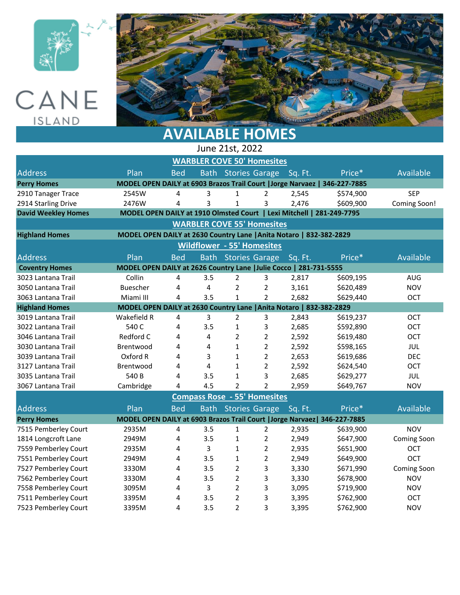





## **AVAILABLE HOMES**

| June 21st, 2022                                                                                  |                                                                       |            |             |                     |                       |         |                                                                           |                    |  |  |
|--------------------------------------------------------------------------------------------------|-----------------------------------------------------------------------|------------|-------------|---------------------|-----------------------|---------|---------------------------------------------------------------------------|--------------------|--|--|
| <b>WARBLER COVE 50' Homesites</b>                                                                |                                                                       |            |             |                     |                       |         |                                                                           |                    |  |  |
| <b>Address</b>                                                                                   | Plan                                                                  | <b>Bed</b> |             | Bath Stories Garage |                       | Sq. Ft. | Price*                                                                    | Available          |  |  |
| MODEL OPEN DAILY at 6903 Brazos Trail Court   Jorge Narvaez   346-227-7885<br><b>Perry Homes</b> |                                                                       |            |             |                     |                       |         |                                                                           |                    |  |  |
| 2910 Tanager Trace                                                                               | 2545W                                                                 | 4          | 3           | $\mathbf{1}$        | 2                     | 2,545   | \$574,900                                                                 | <b>SEP</b>         |  |  |
| 2914 Starling Drive                                                                              | 2476W                                                                 | 4          | 3           | $\mathbf{1}$        | 3                     | 2,476   | \$609,900                                                                 | Coming Soon!       |  |  |
| <b>David Weekley Homes</b>                                                                       | MODEL OPEN DAILY at 1910 Olmsted Court   Lexi Mitchell   281-249-7795 |            |             |                     |                       |         |                                                                           |                    |  |  |
| <b>WARBLER COVE 55' Homesites</b>                                                                |                                                                       |            |             |                     |                       |         |                                                                           |                    |  |  |
| MODEL OPEN DAILY at 2630 Country Lane   Anita Notaro   832-382-2829<br><b>Highland Homes</b>     |                                                                       |            |             |                     |                       |         |                                                                           |                    |  |  |
| <b>Wildflower - 55' Homesites</b>                                                                |                                                                       |            |             |                     |                       |         |                                                                           |                    |  |  |
| <b>Address</b>                                                                                   | Plan                                                                  | <b>Bed</b> | <b>Bath</b> |                     | <b>Stories Garage</b> | Sq. Ft. | Price*                                                                    | Available          |  |  |
| MODEL OPEN DAILY at 2626 Country Lane   Julie Cocco   281-731-5555<br><b>Coventry Homes</b>      |                                                                       |            |             |                     |                       |         |                                                                           |                    |  |  |
| 3023 Lantana Trail                                                                               | Collin                                                                | 4          | 3.5         | $\overline{2}$      | 3                     | 2,817   | \$609,195                                                                 | <b>AUG</b>         |  |  |
| 3050 Lantana Trail                                                                               | Buescher                                                              | 4          | 4           | $\overline{2}$      | $\overline{2}$        | 3,161   | \$620,489                                                                 | <b>NOV</b>         |  |  |
| 3063 Lantana Trail                                                                               | Miami III                                                             | 4          | 3.5         | $\mathbf{1}$        | $\overline{2}$        | 2,682   | \$629,440                                                                 | <b>OCT</b>         |  |  |
| <b>Highland Homes</b>                                                                            | MODEL OPEN DAILY at 2630 Country Lane   Anita Notaro   832-382-2829   |            |             |                     |                       |         |                                                                           |                    |  |  |
| 3019 Lantana Trail                                                                               | Wakefield R                                                           | 4          | 3           | 2                   | 3                     | 2,843   | \$619,237                                                                 | OCT                |  |  |
| 3022 Lantana Trail                                                                               | 540 C                                                                 | 4          | 3.5         | $\mathbf{1}$        | 3                     | 2,685   | \$592,890                                                                 | OCT                |  |  |
| 3046 Lantana Trail                                                                               | Redford C                                                             | 4          | 4           | $\overline{2}$      | $\overline{2}$        | 2,592   | \$619,480                                                                 | <b>OCT</b>         |  |  |
| 3030 Lantana Trail                                                                               | Brentwood                                                             | 4          | 4           | $\mathbf{1}$        | $\overline{2}$        | 2,592   | \$598,165                                                                 | JUL                |  |  |
| 3039 Lantana Trail                                                                               | Oxford R                                                              | 4          | 3           | $\mathbf 1$         | $\overline{2}$        | 2,653   | \$619,686                                                                 | <b>DEC</b>         |  |  |
| 3127 Lantana Trail                                                                               | Brentwood                                                             | 4          | 4           | $\mathbf 1$         | $\overline{2}$        | 2,592   | \$624,540                                                                 | <b>OCT</b>         |  |  |
| 3035 Lantana Trail                                                                               | 540 B                                                                 | 4          | 3.5         | $\mathbf{1}$        | 3                     | 2,685   | \$629,277                                                                 | JUL                |  |  |
| 3067 Lantana Trail                                                                               | Cambridge                                                             | 4          | 4.5         | $\overline{2}$      | $\overline{2}$        | 2,959   | \$649,767                                                                 | <b>NOV</b>         |  |  |
| <b>Compass Rose - 55' Homesites</b>                                                              |                                                                       |            |             |                     |                       |         |                                                                           |                    |  |  |
| <b>Address</b>                                                                                   | Plan                                                                  | <b>Bed</b> | <b>Bath</b> |                     | <b>Stories Garage</b> | Sq. Ft. | Price*                                                                    | Available          |  |  |
| <b>Perry Homes</b>                                                                               |                                                                       |            |             |                     |                       |         | MODEL OPEN DAILY at 6903 Brazos Trail Court   Jorge Narvaez  346-227-7885 |                    |  |  |
| 7515 Pemberley Court                                                                             | 2935M                                                                 | 4          | 3.5         | 1                   | $\overline{2}$        | 2,935   | \$639,900                                                                 | <b>NOV</b>         |  |  |
| 1814 Longcroft Lane                                                                              | 2949M                                                                 | 4          | 3.5         | 1                   | $\overline{2}$        | 2,949   | \$647,900                                                                 | <b>Coming Soon</b> |  |  |
| 7559 Pemberley Court                                                                             | 2935M                                                                 | 4          | 3           | 1                   | $\overline{2}$        | 2,935   | \$651,900                                                                 | <b>OCT</b>         |  |  |
| 7551 Pemberley Court                                                                             | 2949M                                                                 | 4          | 3.5         | 1                   | $\overline{2}$        | 2,949   | \$649,900                                                                 | <b>OCT</b>         |  |  |
| 7527 Pemberley Court                                                                             | 3330M                                                                 | 4          | 3.5         | $\overline{2}$      | 3                     | 3,330   | \$671,990                                                                 | <b>Coming Soon</b> |  |  |
| 7562 Pemberley Court                                                                             | 3330M                                                                 | 4          | 3.5         | 2                   | 3                     | 3,330   | \$678,900                                                                 | <b>NOV</b>         |  |  |
| 7558 Pemberley Court                                                                             | 3095M                                                                 | 4          | 3           | $\overline{2}$      | 3                     | 3,095   | \$719,900                                                                 | <b>NOV</b>         |  |  |
| 7511 Pemberley Court                                                                             | 3395M                                                                 | 4          | 3.5         | $\overline{2}$      | 3                     | 3,395   | \$762,900                                                                 | OCT                |  |  |
| 7523 Pemberley Court                                                                             | 3395M                                                                 | 4          | 3.5         | $\overline{2}$      | 3                     | 3,395   | \$762,900                                                                 | <b>NOV</b>         |  |  |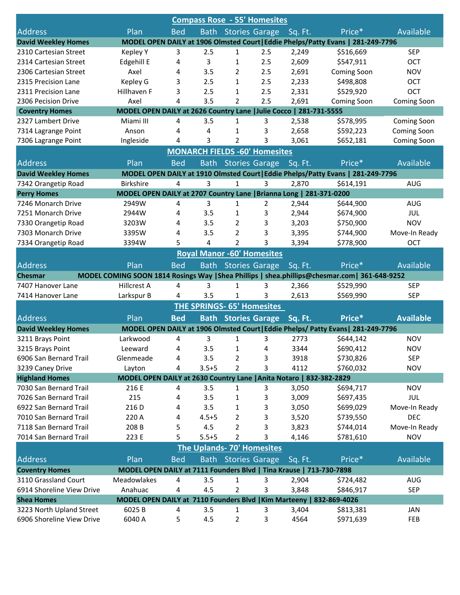| <b>Compass Rose - 55' Homesites</b>                                                                            |                                                                      |            |                |                |                                      |         |                                                                                               |                    |  |
|----------------------------------------------------------------------------------------------------------------|----------------------------------------------------------------------|------------|----------------|----------------|--------------------------------------|---------|-----------------------------------------------------------------------------------------------|--------------------|--|
| <b>Address</b>                                                                                                 | Plan                                                                 | <b>Bed</b> |                |                | <b>Bath Stories Garage</b>           | Sq. Ft. | Price*                                                                                        | Available          |  |
| MODEL OPEN DAILY at 1906 Olmsted Court   Eddie Phelps/Patty Evans   281-249-7796<br><b>David Weekley Homes</b> |                                                                      |            |                |                |                                      |         |                                                                                               |                    |  |
| 2310 Cartesian Street                                                                                          | <b>Kepley Y</b>                                                      | 3          | 2.5            | 1              | 2.5                                  | 2,249   | \$516,669                                                                                     | <b>SEP</b>         |  |
| 2314 Cartesian Street                                                                                          | Edgehill E                                                           | 4          | 3              | 1              | 2.5                                  | 2,609   | \$547,911                                                                                     | OCT                |  |
| 2306 Cartesian Street                                                                                          | Axel                                                                 | 4          | 3.5            | 2              | 2.5                                  | 2,691   | Coming Soon                                                                                   | <b>NOV</b>         |  |
| 2315 Precision Lane                                                                                            | Kepley G                                                             | 3          | 2.5            | 1              | 2.5                                  | 2,233   | \$498,808                                                                                     | OCT                |  |
| 2311 Precision Lane                                                                                            | Hillhaven F                                                          | 3          | 2.5            | 1              | 2.5                                  | 2,331   | \$529,920                                                                                     | OCT                |  |
| 2306 Pecision Drive                                                                                            | Axel                                                                 | 4          | 3.5            | 2              | 2.5                                  | 2,691   | Coming Soon                                                                                   | Coming Soon        |  |
| <b>Coventry Homes</b>                                                                                          | MODEL OPEN DAILY at 2626 Country Lane   Julie Cocco   281-731-5555   |            |                |                |                                      |         |                                                                                               |                    |  |
| 2327 Lambert Drive                                                                                             | Miami III                                                            | 4          | 3.5            | 1              | 3                                    | 2,538   | \$578,995                                                                                     | <b>Coming Soon</b> |  |
| 7314 Lagrange Point                                                                                            | Anson                                                                | 4          | 4              | 1              | 3                                    | 2,658   | \$592,223                                                                                     | <b>Coming Soon</b> |  |
| 7306 Lagrange Point                                                                                            | Ingleside                                                            | 4          | 3              | $\overline{2}$ | 3                                    | 3,061   | \$652,181                                                                                     | Coming Soon        |  |
|                                                                                                                |                                                                      |            |                |                | <b>MONARCH FIELDS -60' Homesites</b> |         |                                                                                               |                    |  |
| <b>Address</b>                                                                                                 | Plan                                                                 | <b>Bed</b> | <b>Bath</b>    |                | <b>Stories Garage</b>                | Sq. Ft. | Price*                                                                                        | Available          |  |
| <b>David Weekley Homes</b>                                                                                     |                                                                      |            |                |                |                                      |         | MODEL OPEN DAILY at 1910 Olmsted Court   Eddie Phelps/Patty Evans   281-249-7796              |                    |  |
| 7342 Orangetip Road                                                                                            | <b>Birkshire</b>                                                     | 4          | 3              | 1              | 3                                    | 2,870   | \$614,191                                                                                     | <b>AUG</b>         |  |
| <b>Perry Homes</b>                                                                                             | MODEL OPEN DAILY at 2707 Country Lane   Brianna Long   281-371-0200  |            |                |                |                                      |         |                                                                                               |                    |  |
| 7246 Monarch Drive                                                                                             | 2949W                                                                | 4          | 3              | 1              | 2                                    | 2,944   | \$644,900                                                                                     | <b>AUG</b>         |  |
| 7251 Monarch Drive                                                                                             | 2944W                                                                | 4          | 3.5            | 1              | 3                                    | 2,944   | \$674,900                                                                                     | JUL                |  |
| 7330 Orangetip Road                                                                                            | 3203W                                                                | 4          | 3.5            | 2              | 3                                    | 3,203   | \$750,900                                                                                     | <b>NOV</b>         |  |
| 7303 Monarch Drive                                                                                             | 3395W                                                                | 4          | 3.5            | $\overline{2}$ | 3                                    | 3,395   | \$744,900                                                                                     | Move-In Ready      |  |
| 7334 Orangetip Road                                                                                            | 3394W                                                                | 5          | $\overline{4}$ | $\overline{2}$ | 3                                    | 3,394   | \$778,900                                                                                     | OCT                |  |
|                                                                                                                |                                                                      |            |                |                | <b>Royal Manor -60' Homesites</b>    |         |                                                                                               |                    |  |
| <b>Address</b>                                                                                                 | Plan                                                                 | <b>Bed</b> | <b>Bath</b>    |                | <b>Stories Garage</b>                |         | Price*                                                                                        | Available          |  |
| <b>Chesmar</b>                                                                                                 |                                                                      |            |                |                |                                      | Sq. Ft. | MODEL COMING SOON 1814 Rosings Way   Shea Phillips   shea.phillips@chesmar.com   361-648-9252 |                    |  |
| 7407 Hanover Lane                                                                                              | Hillcrest A                                                          | 4          | 3              | $\mathbf{1}$   | 3                                    | 2,366   | \$529,990                                                                                     | <b>SEP</b>         |  |
| 7414 Hanover Lane                                                                                              | Larkspur B                                                           | 4          | 3.5            | $\mathbf{1}$   | 3                                    | 2,613   | \$569,990                                                                                     | <b>SEP</b>         |  |
|                                                                                                                |                                                                      |            |                |                |                                      |         |                                                                                               |                    |  |
|                                                                                                                |                                                                      |            |                |                | <b>THE SPRINGS- 65' Homesites</b>    |         |                                                                                               |                    |  |
| <b>Address</b>                                                                                                 | Plan                                                                 | <b>Bed</b> |                |                | <b>Bath Stories Garage</b>           | Sq. Ft. | Price*                                                                                        | <b>Available</b>   |  |
| <b>David Weekley Homes</b>                                                                                     |                                                                      |            |                |                |                                      |         | MODEL OPEN DAILY at 1906 Olmsted Court   Eddie Phelps/ Patty Evans   281-249-7796             |                    |  |
| 3211 Brays Point                                                                                               | Larkwood                                                             | 4          | 3              | $\mathbf{1}$   | 3                                    | 2773    | \$644,142                                                                                     | <b>NOV</b>         |  |
| 3215 Brays Point                                                                                               | Leeward                                                              | 4          | 3.5            | 1              | 4                                    | 3344    | \$690,412                                                                                     | <b>NOV</b>         |  |
| 6906 San Bernard Trail                                                                                         | Glenmeade                                                            | 4          | 3.5            | 2              | 3                                    | 3918    | \$730,826                                                                                     | <b>SEP</b>         |  |
| 3239 Caney Drive                                                                                               | Layton                                                               | 4          | $3.5 + 5$      | $\overline{2}$ | 3                                    | 4112    | \$760,032                                                                                     | <b>NOV</b>         |  |
| <b>Highland Homes</b>                                                                                          | MODEL OPEN DAILY at 2630 Country Lane   Anita Notaro   832-382-2829  |            |                |                |                                      |         |                                                                                               |                    |  |
| 7030 San Bernard Trail                                                                                         | 216 E                                                                | 4          | 3.5            | 1              | 3                                    | 3,050   | \$694,717                                                                                     | <b>NOV</b>         |  |
| 7026 San Bernard Trail                                                                                         | 215                                                                  | 4          | 3.5            | 1              | 3                                    | 3,009   | \$697,435                                                                                     | JUL                |  |
| 6922 San Bernard Trail                                                                                         | 216 D                                                                | 4          | 3.5            | 1              | 3                                    | 3,050   | \$699,029                                                                                     | Move-In Ready      |  |
| 7010 San Bernard Trail                                                                                         | 220 A                                                                | 4          | $4.5 + 5$      | 2              | 3                                    | 3,520   | \$739,550                                                                                     | DEC                |  |
| 7118 San Bernard Trail                                                                                         | 208 B                                                                | 5          | 4.5            | 2              | 3                                    | 3,823   | \$744,014                                                                                     | Move-In Ready      |  |
| 7014 San Bernard Trail                                                                                         | 223 E                                                                | 5          | $5.5 + 5$      | $\overline{2}$ | 3                                    | 4,146   | \$781,610                                                                                     | <b>NOV</b>         |  |
| The Uplands- 70' Homesites                                                                                     |                                                                      |            |                |                |                                      |         |                                                                                               |                    |  |
| <b>Address</b>                                                                                                 | Plan                                                                 | <b>Bed</b> | <b>Bath</b>    |                | <b>Stories Garage</b>                | Sq. Ft. | Price*                                                                                        | Available          |  |
| <b>Coventry Homes</b>                                                                                          | MODEL OPEN DAILY at 7111 Founders Blvd   Tina Krause   713-730-7898  |            |                |                |                                      |         |                                                                                               |                    |  |
| 3110 Grassland Court                                                                                           | Meadowlakes                                                          | 4          | 3.5            | 1              | 3                                    | 2,904   | \$724,482                                                                                     | AUG                |  |
| 6914 Shoreline View Drive                                                                                      | Anahuac                                                              | 4          | 4.5            | 2              | 3                                    | 3,848   | \$846,917                                                                                     | <b>SEP</b>         |  |
| <b>Shea Homes</b>                                                                                              | MODEL OPEN DAILY at 7110 Founders Blvd   Kim Marteeny   832-869-4026 |            |                |                |                                      |         |                                                                                               |                    |  |
| 3223 North Upland Street                                                                                       | 6025B                                                                | 4          | 3.5            | 1              | 3                                    | 3,404   | \$813,381                                                                                     | JAN                |  |
| 6906 Shoreline View Drive                                                                                      | 6040 A                                                               | 5          | 4.5            | $\overline{2}$ | 3                                    | 4564    | \$971,639                                                                                     | FEB                |  |